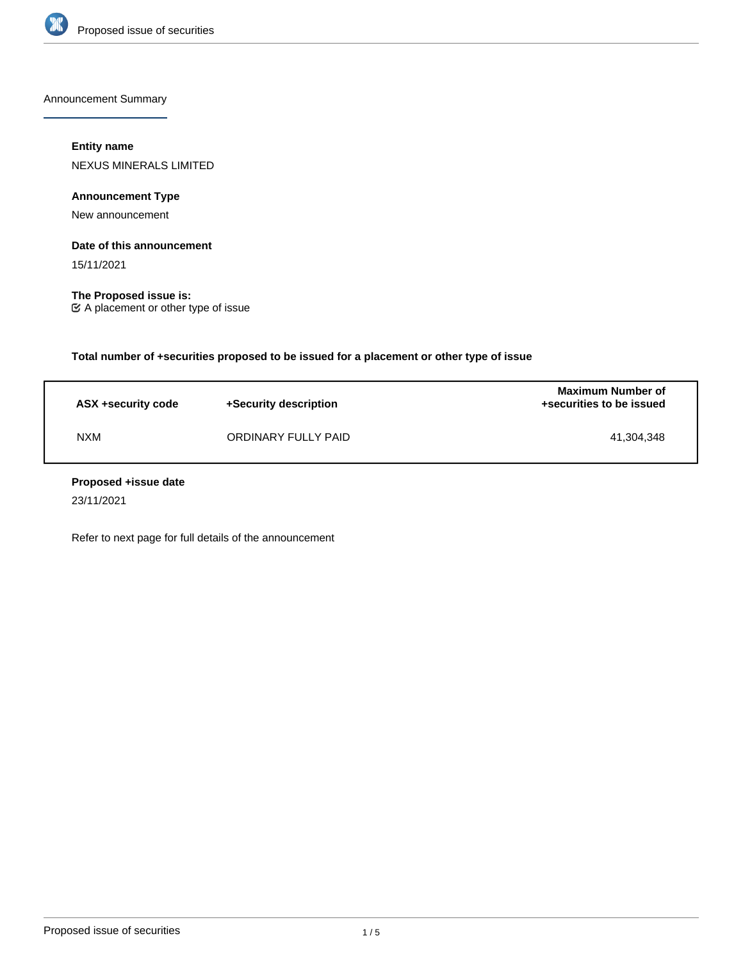

Announcement Summary

## **Entity name**

NEXUS MINERALS LIMITED

**Announcement Type**

New announcement

## **Date of this announcement**

15/11/2021

**The Proposed issue is:** A placement or other type of issue

**Total number of +securities proposed to be issued for a placement or other type of issue**

| ASX +security code | +Security description | Maximum Number of<br>+securities to be issued |
|--------------------|-----------------------|-----------------------------------------------|
| <b>NXM</b>         | ORDINARY FULLY PAID   | 41.304.348                                    |

### **Proposed +issue date**

23/11/2021

Refer to next page for full details of the announcement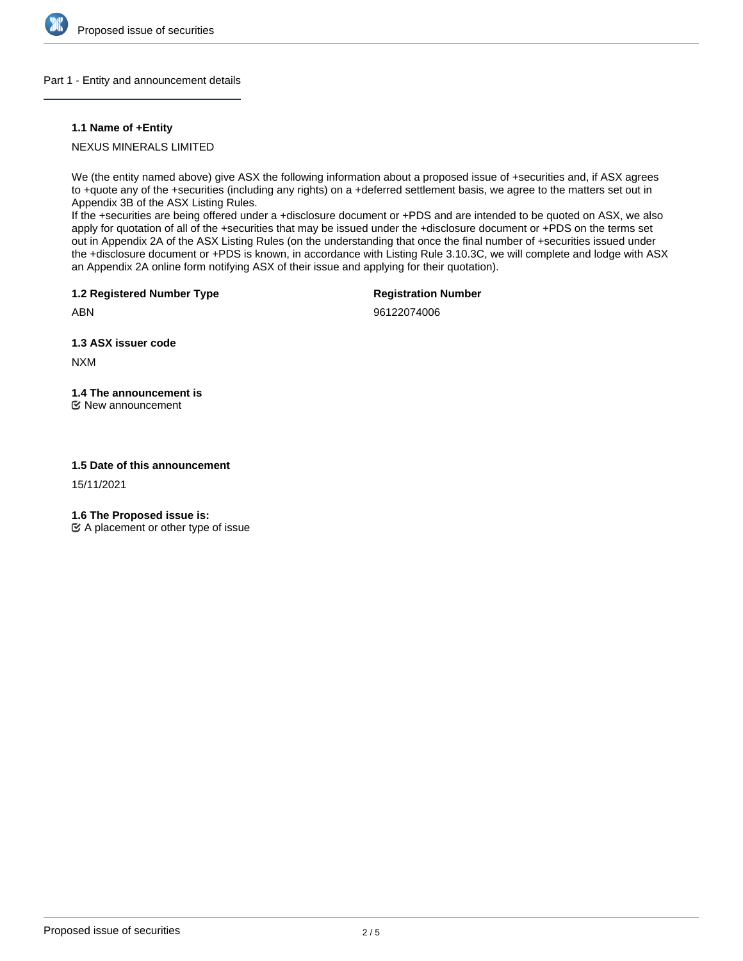

#### Part 1 - Entity and announcement details

### **1.1 Name of +Entity**

## NEXUS MINERALS LIMITED

We (the entity named above) give ASX the following information about a proposed issue of +securities and, if ASX agrees to +quote any of the +securities (including any rights) on a +deferred settlement basis, we agree to the matters set out in Appendix 3B of the ASX Listing Rules.

If the +securities are being offered under a +disclosure document or +PDS and are intended to be quoted on ASX, we also apply for quotation of all of the +securities that may be issued under the +disclosure document or +PDS on the terms set out in Appendix 2A of the ASX Listing Rules (on the understanding that once the final number of +securities issued under the +disclosure document or +PDS is known, in accordance with Listing Rule 3.10.3C, we will complete and lodge with ASX an Appendix 2A online form notifying ASX of their issue and applying for their quotation).

**1.2 Registered Number Type**

**Registration Number**

ABN

96122074006

**1.3 ASX issuer code**

NXM

# **1.4 The announcement is**

New announcement

### **1.5 Date of this announcement**

15/11/2021

**1.6 The Proposed issue is:**

 $\mathfrak{C}$  A placement or other type of issue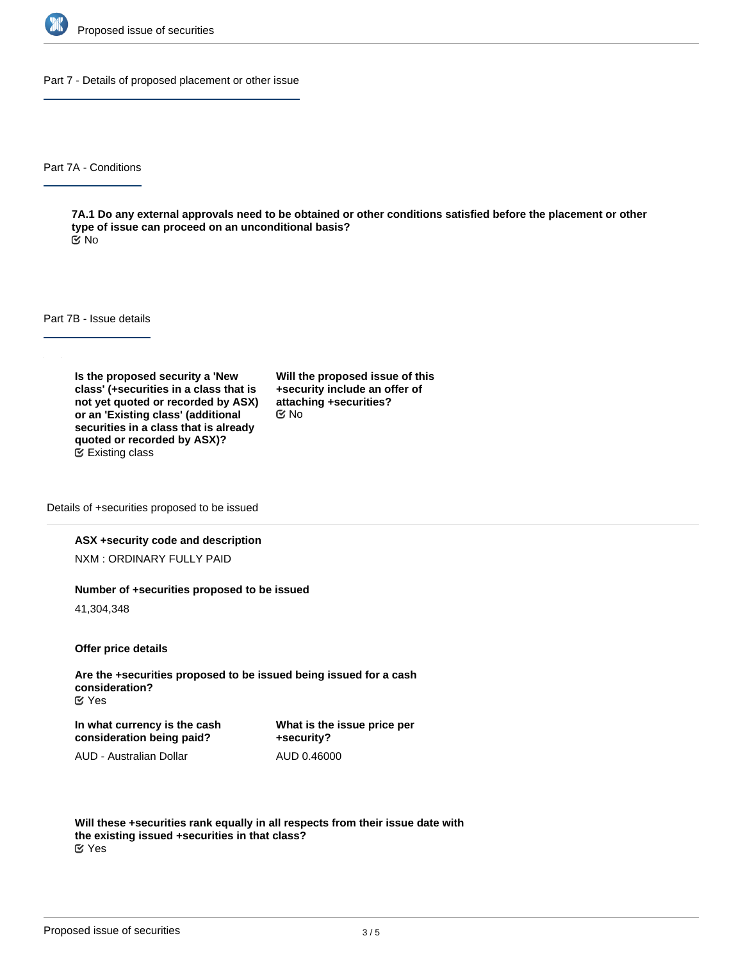

Part 7 - Details of proposed placement or other issue

Part 7A - Conditions

**7A.1 Do any external approvals need to be obtained or other conditions satisfied before the placement or other type of issue can proceed on an unconditional basis?** No

Part 7B - Issue details

**Is the proposed security a 'New class' (+securities in a class that is not yet quoted or recorded by ASX) or an 'Existing class' (additional securities in a class that is already quoted or recorded by ASX)?** Existing class

**Will the proposed issue of this +security include an offer of attaching +securities?** No

Details of +securities proposed to be issued

#### **ASX +security code and description**

NXM : ORDINARY FULLY PAID

#### **Number of +securities proposed to be issued**

41,304,348

**Offer price details**

**Are the +securities proposed to be issued being issued for a cash consideration?** Yes

**In what currency is the cash consideration being paid?**

**What is the issue price per +security?** AUD 0.46000

AUD - Australian Dollar

**Will these +securities rank equally in all respects from their issue date with the existing issued +securities in that class?** Yes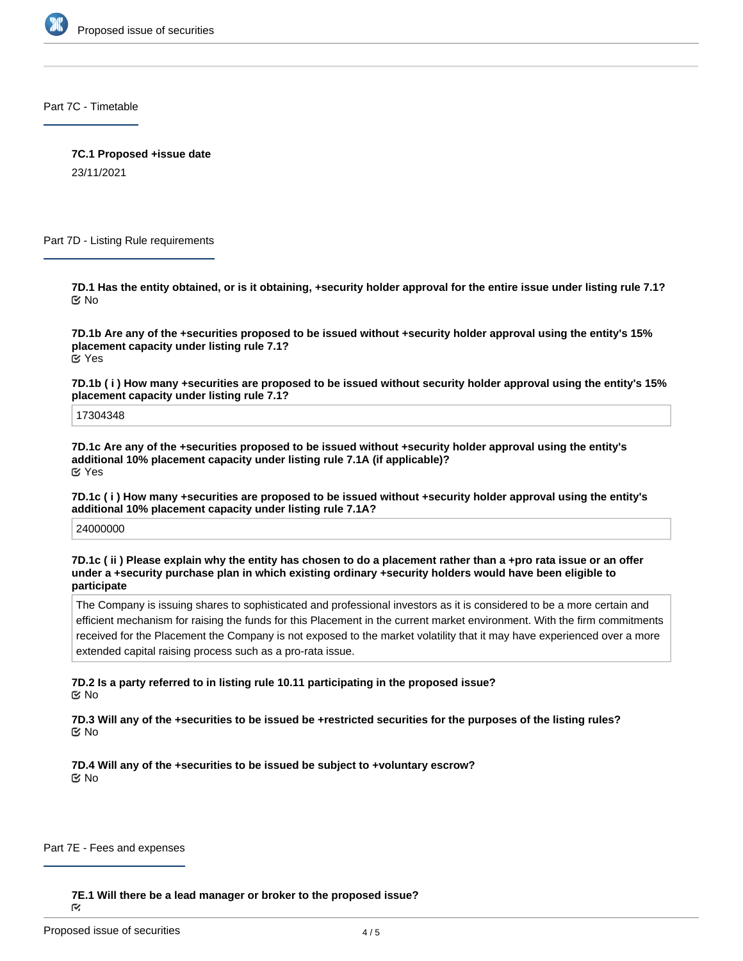

Part 7C - Timetable

**7C.1 Proposed +issue date**

23/11/2021

Part 7D - Listing Rule requirements

**7D.1 Has the entity obtained, or is it obtaining, +security holder approval for the entire issue under listing rule 7.1?** No

**7D.1b Are any of the +securities proposed to be issued without +security holder approval using the entity's 15% placement capacity under listing rule 7.1?** Yes

**7D.1b ( i ) How many +securities are proposed to be issued without security holder approval using the entity's 15% placement capacity under listing rule 7.1?**

17304348

**7D.1c Are any of the +securities proposed to be issued without +security holder approval using the entity's additional 10% placement capacity under listing rule 7.1A (if applicable)?** Yes

**7D.1c ( i ) How many +securities are proposed to be issued without +security holder approval using the entity's additional 10% placement capacity under listing rule 7.1A?**

24000000

**7D.1c ( ii ) Please explain why the entity has chosen to do a placement rather than a +pro rata issue or an offer under a +security purchase plan in which existing ordinary +security holders would have been eligible to participate**

The Company is issuing shares to sophisticated and professional investors as it is considered to be a more certain and efficient mechanism for raising the funds for this Placement in the current market environment. With the firm commitments received for the Placement the Company is not exposed to the market volatility that it may have experienced over a more extended capital raising process such as a pro-rata issue.

**7D.2 Is a party referred to in listing rule 10.11 participating in the proposed issue?** No

**7D.3 Will any of the +securities to be issued be +restricted securities for the purposes of the listing rules?** No

**7D.4 Will any of the +securities to be issued be subject to +voluntary escrow?** No

Part 7E - Fees and expenses

**7E.1 Will there be a lead manager or broker to the proposed issue?**

Ñ.